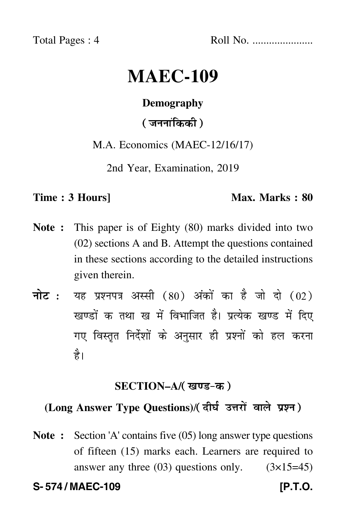Total Pages : 4 Roll No. ......................

# **MAEC-109**

### **Demography**

( जननांकिकी )

M.A. Economics (MAEC-12/16/17)

2nd Year, Examination, 2019

#### **Time : 3 Hours]** Max. Marks : 80

- **Note :** This paper is of Eighty (80) marks divided into two (02) sections A and B. Attempt the questions contained in these sections according to the detailed instructions given therein.
- नोट : यह प्रश्नपत्र अस्सी (80) अंकों का है जो दो (02) खण्डों क तथा ख में विभाजित है। प्रत्येक खण्ड में दिए गए विस्तृत निर्देशों के अनुसार ही प्रश्नों को हल करन<mark>ा</mark> है।

# **SECTION–A/**

# **(Long Answer Type Questions)**/

**Note :** Section 'A' contains five (05) long answer type questions of fifteen (15) marks each. Learners are required to answer any three  $(03)$  questions only.  $(3\times15=45)$ 

**S- 574 / MAEC-109 [P.T.O.**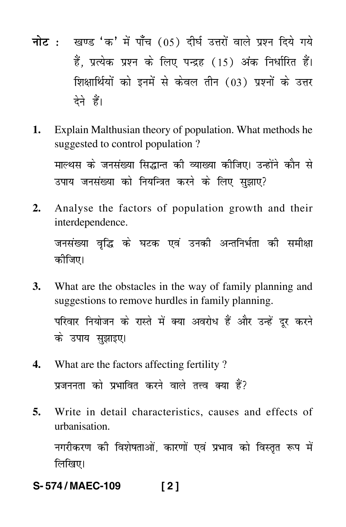- <mark>नोट</mark> : खण्ड 'क' में पाँच (05) दीर्घ उत्तरों वाले प्रश्न दिये गये हैं, प्रत्येक प्रश्न के लिए पन्द्रह (15) अंक निर्धारित हैं। शिक्षार्थियों को इनमें से केवल तीन (03) प्रश्नों के उत्तर देने हैं।
- **1.** Explain Malthusian theory of population. What methods he suggested to control population ? माल्थस के जनसंख्या सिद्धान्त की व्याख्या कीजिए। उन्होंने कौन से उपाय जनसंख्या को नियन्त्रित करने के लिए सुझाए?
- **2.** Analyse the factors of population growth and their interdependence.

जनसंख्या वृद्धि के घटक एवं उनकी अन्तनिर्भता की समीक्ष -कीजिए।

- **3.** What are the obstacles in the way of family planning and suggestions to remove hurdles in family planning. परिवार नियोजन के रास्ते में क्या अवरोध हैं और उन्हें दूर करने के उपाय सुझाइए।
- **4.** What are the factors affecting fertility ? प्रजननता को प्रभावित करने वाले तत्त्व क्या हैं? -
- **5.** Write in detail characteristics, causes and effects of urbanisation.

नगरीकरण की विशेषताओं, कारणों एवं प्रभाव को विस्तृत रूप में --लिखिए।

**S- 574 / MAEC-109 [ 2 ]**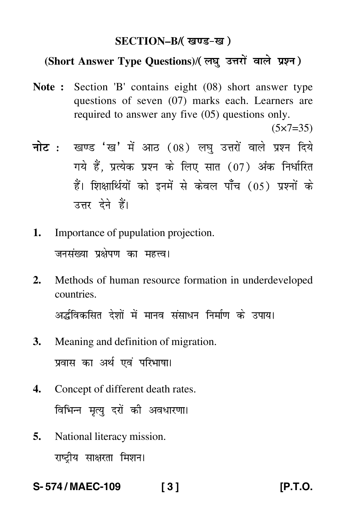### **SECTION–B/**

# **(Short Answer Type Questions)**/

**Note :** Section 'B' contains eight (08) short answer type questions of seven (07) marks each. Learners are required to answer any five (05) questions only.

 $(5 \times 7 = 35)$ 

- <mark>नोट</mark> : खण्ड 'ख' में आठ (08) लघु उत्तरों वाले प्रश्न दिये गये हैं, प्रत्येक प्रश्न के लिए सात (07) अंक निर्धारित हैं। शिक्षार्थियों को इनमें से केवल पाँच (05) प्रश्नों के उत्तर देने हैं।
- **1.** Importance of pupulation projection. जनसंख्या प्रक्षेपण का महत्त्व।
- **2.** Methods of human resource formation in underdeveloped countries.

अर्द्धविकसित देशों में मानव संसाधन निर्माण के उपाय। -

- **3.** Meaning and definition of migration. प्रवास का अर्थ एवं परिभाषा। --
- **4.** Concept of different death rates. विभिन्न मृत्यु दरों की अवधारणा। -
- **5.** National literacy mission. राष्ट्रीय साक्षरता मिशन।

**S- 574 / MAEC-109 [ 3 ] [P.T.O.**